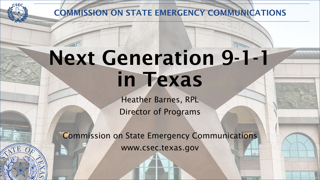

COMMISSION ON STATE EMERGENCY COMMUNICATIONS

## Next Generation 9-1-1 in Texas

Heather Barnes, RPL Director of Programs

Commission on State Emergency Communications www.csec.texas.gov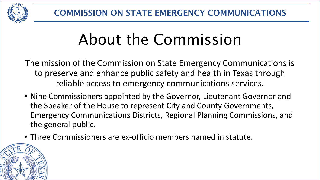

#### About the Commission

The mission of the Commission on State Emergency Communications is to preserve and enhance public safety and health in Texas through reliable access to emergency communications services.

- Nine Commissioners appointed by the Governor, Lieutenant Governor and the Speaker of the House to represent City and County Governments, Emergency Communications Districts, Regional Planning Commissions, and the general public.
- Three Commissioners are ex-officio members named in statute.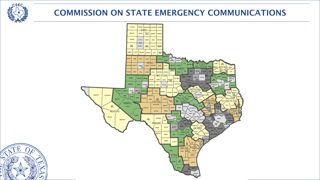

#### COMMISSION ON STATE EMERGENCY COMMUNICATIONS



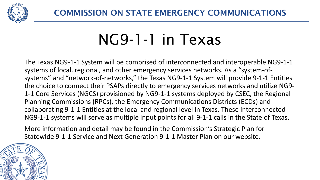

#### NG9-1-1 in Texas

The Texas NG9-1-1 System will be comprised of interconnected and interoperable NG9-1-1 systems of local, regional, and other emergency services networks. As a "system-ofsystems" and "network-of-networks," the Texas NG9-1-1 System will provide 9-1-1 Entities the choice to connect their PSAPs directly to emergency services networks and utilize NG9- 1-1 Core Services (NGCS) provisioned by NG9-1-1 systems deployed by CSEC, the Regional Planning Commissions (RPCs), the Emergency Communications Districts (ECDs) and collaborating 9-1-1 Entities at the local and regional level in Texas. These interconnected NG9-1-1 systems will serve as multiple input points for all 9-1-1 calls in the State of Texas.

More information and detail may be found in the Commission's Strategic Plan for Statewide 9-1-1 Service and Next Generation 9-1-1 Master Plan on our website.

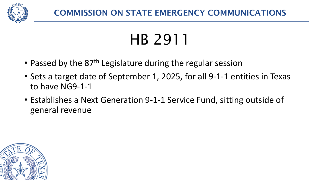

#### HB 2911

- Passed by the 87<sup>th</sup> Legislature during the regular session
- Sets a target date of September 1, 2025, for all 9-1-1 entities in Texas to have NG9-1-1
- Establishes a Next Generation 9-1-1 Service Fund, sitting outside of general revenue

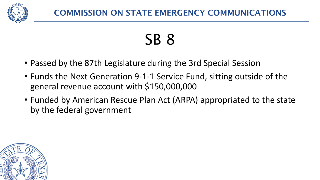

## SB 8

- Passed by the 87th Legislature during the 3rd Special Session
- Funds the Next Generation 9-1-1 Service Fund, sitting outside of the general revenue account with \$150,000,000
- Funded by American Rescue Plan Act (ARPA) appropriated to the state by the federal government

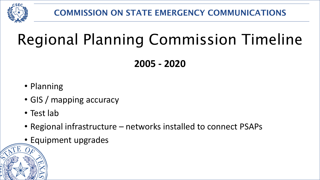

**2005 - 2020**

- Planning
- GIS / mapping accuracy
- Test lab
- Regional infrastructure networks installed to connect PSAPs
- Equipment upgrades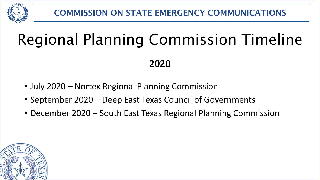

- **2020**
- July 2020 Nortex Regional Planning Commission
- September 2020 Deep East Texas Council of Governments
- December 2020 South East Texas Regional Planning Commission

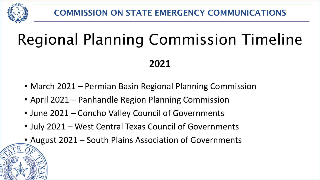

**2021**

- March 2021 Permian Basin Regional Planning Commission
- April 2021 Panhandle Region Planning Commission
- June 2021 Concho Valley Council of Governments
- July 2021 West Central Texas Council of Governments
- August 2021 South Plains Association of Governments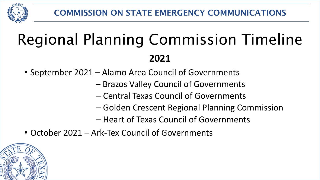

- September 2021 Alamo Area Council of Governments
	- Brazos Valley Council of Governments
	- Central Texas Council of Governments
	- Golden Crescent Regional Planning Commission
	- Heart of Texas Council of Governments
- October 2021 Ark-Tex Council of Governments

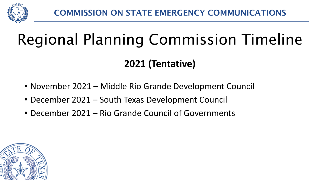

**2021 (Tentative)**

- November 2021 Middle Rio Grande Development Council
- December 2021 South Texas Development Council
- December 2021 Rio Grande Council of Governments

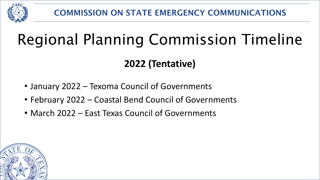

**2022 (Tentative)**

- January 2022 Texoma Council of Governments
- February 2022 Coastal Bend Council of Governments
- March 2022 East Texas Council of Governments

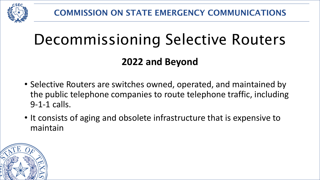

#### Decommissioning Selective Routers

#### **2022 and Beyond**

- Selective Routers are switches owned, operated, and maintained by the public telephone companies to route telephone traffic, including 9-1-1 calls.
- It consists of aging and obsolete infrastructure that is expensive to maintain

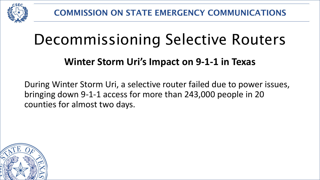

#### Decommissioning Selective Routers

#### **Winter Storm Uri's Impact on 9-1-1 in Texas**

During Winter Storm Uri, a selective router failed due to power issues, bringing down 9-1-1 access for more than 243,000 people in 20 counties for almost two days.